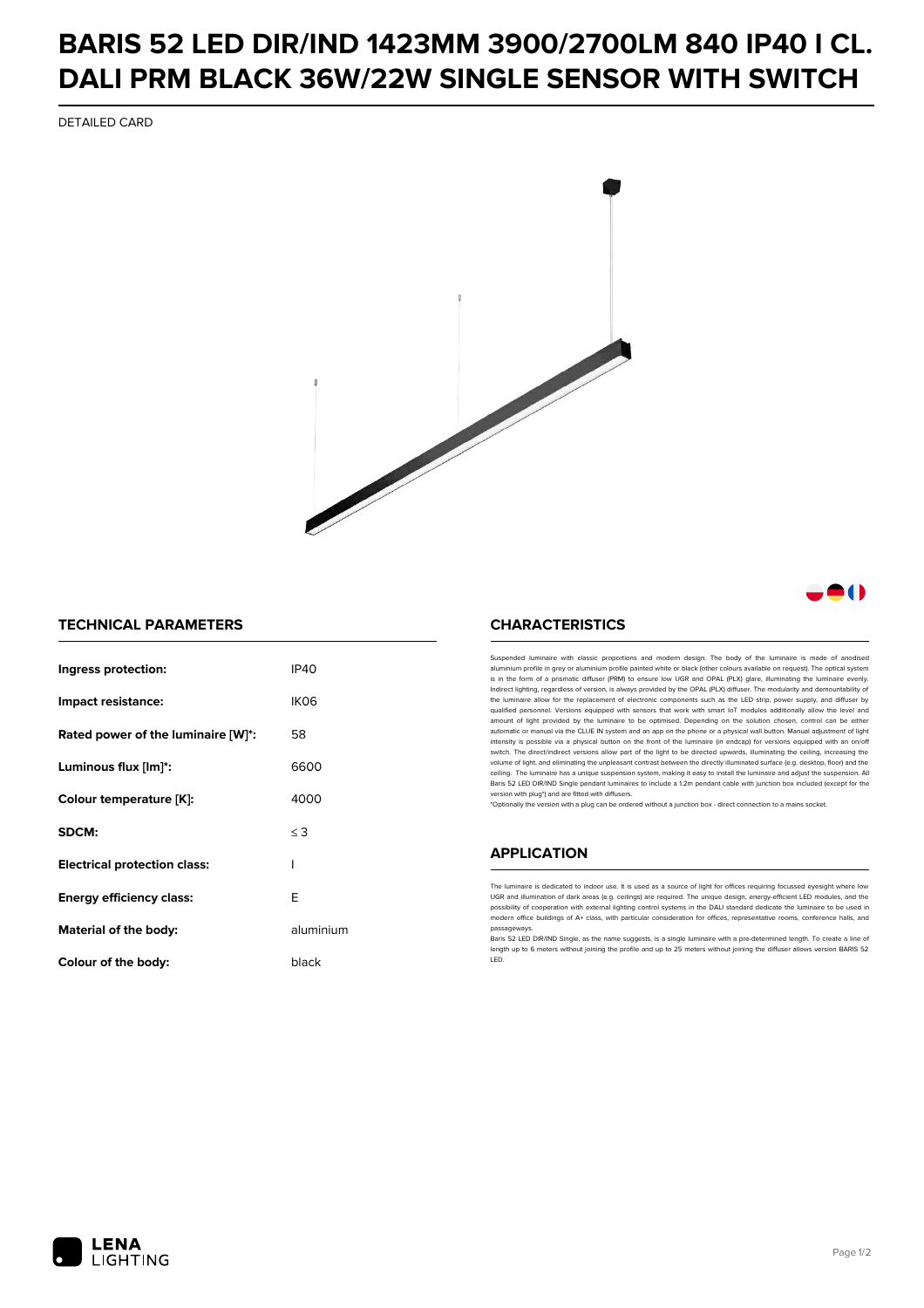## **BARIS 52 LED DIR/IND 1423MM 3900/2700LM 840 IP40 I CL. DALI PRM BLACK 36W/22W SINGLE SENSOR WITH SWITCH**

DETAILED CARD



### a ( )

#### **TECHNICAL PARAMETERS**

| Ingress protection:                 | IP40             |
|-------------------------------------|------------------|
| Impact resistance:                  | IK <sub>06</sub> |
| Rated power of the luminaire [W]*:  | 58               |
| Luminous flux [lm]*:                | 6600             |
| Colour temperature [K]:             | 4000             |
| SDCM:                               | $\leq$ 3         |
| <b>Electrical protection class:</b> | ı                |
| Energy efficiency class:            | E                |
| Material of the body:               | aluminium        |
| Colour of the body:                 | black            |

#### **CHARACTERISTICS**

Suspended luminaire with classic proportions and modern design. The body of the luminaire is made of an aluminium profile in grey or aluminium profile painted white or black (other colours available on request). The optical system is in the form of a prismatic diffuser (PRM) to ensure low UGR and OPAL (PLX) glare, illuminating the luminaire evenly.<br>Indirect lighting, regardless of version, is always provided by the OPAL (PLX) diffuser. The modularit the luminaire allow for the replacement of electronic components such as the LED strip, power supply, and diffuser by qualified personnel. Versions equipped with sensors that work with smart IoT modules additionally allow the level and amount of light provided by the luminaire to be optimised. Depending on the solution chosen, control can be either automatic or manual via the CLUE IN system and an app on the phone or a physical wall button. Manual adjustment of light<br>intensity is possible via a physical button on the front of the luminaire (in endcap) for versions eq switch. The direct/indirect versions allow part of the light to be directed upwards, illuminating the ceiling, increasing the volume of light, and eliminating the unpleasant contrast between the directly illuminated surface (e.g. desktop, floor) and the ceiling. The luminaire has a unique suspension system, making it easy to install the luminaire and adjust the suspension. All Baris 52 LED DIR/IND Single pendant Iuminaires to include a 1.2m pendant cable with junction box included (except for the<br>version with plug\*) and are fitted with diffusers.

\*Optionally the version with a plug can be ordered without a junction box - direct connection to a mains socket.

#### **APPLICATION**

The luminaire is dedicated to indoor use. It is used as a source of light for offices requiring focussed eyesight where low UGR and illumination of dark areas (e.g. ceilings) are required. The unique design, energy-efficient LED modules, and the<br>possibility of cooperation with external lighting control systems in the DALI standard dedicate the modern office buildings of A+ class, with particular consideration for offices, representative rooms, conference halls, and passage

Baris 52 LED DIR/IND Single, as the name suggests, is a single luminaire with a pre-determined length. To create a line of length up to 6 meters without joining the profile and up to 25 meters without joining the diffuser allows version BARIS 52 LED.